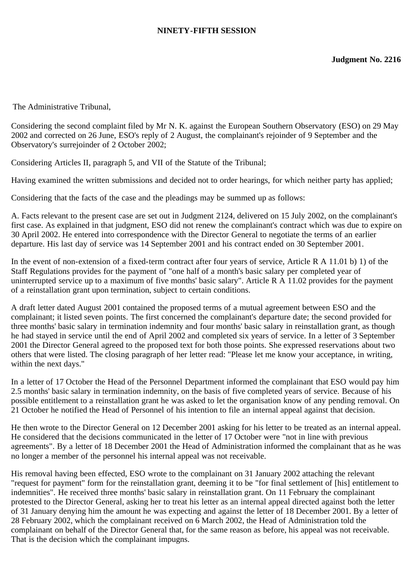## **NINETY-FIFTH SESSION**

The Administrative Tribunal,

Considering the second complaint filed by Mr N. K. against the European Southern Observatory (ESO) on 29 May 2002 and corrected on 26 June, ESO's reply of 2 August, the complainant's rejoinder of 9 September and the Observatory's surrejoinder of 2 October 2002;

Considering Articles II, paragraph 5, and VII of the Statute of the Tribunal;

Having examined the written submissions and decided not to order hearings, for which neither party has applied;

Considering that the facts of the case and the pleadings may be summed up as follows:

A. Facts relevant to the present case are set out in Judgment 2124, delivered on 15 July 2002, on the complainant's first case. As explained in that judgment, ESO did not renew the complainant's contract which was due to expire on 30 April 2002. He entered into correspondence with the Director General to negotiate the terms of an earlier departure. His last day of service was 14 September 2001 and his contract ended on 30 September 2001.

In the event of non-extension of a fixed-term contract after four years of service, Article R A 11.01 b) 1) of the Staff Regulations provides for the payment of "one half of a month's basic salary per completed year of uninterrupted service up to a maximum of five months' basic salary". Article R A 11.02 provides for the payment of a reinstallation grant upon termination, subject to certain conditions.

A draft letter dated August 2001 contained the proposed terms of a mutual agreement between ESO and the complainant; it listed seven points. The first concerned the complainant's departure date; the second provided for three months' basic salary in termination indemnity and four months' basic salary in reinstallation grant, as though he had stayed in service until the end of April 2002 and completed six years of service. In a letter of 3 September 2001 the Director General agreed to the proposed text for both those points. She expressed reservations about two others that were listed. The closing paragraph of her letter read: "Please let me know your acceptance, in writing, within the next days."

In a letter of 17 October the Head of the Personnel Department informed the complainant that ESO would pay him 2.5 months' basic salary in termination indemnity, on the basis of five completed years of service. Because of his possible entitlement to a reinstallation grant he was asked to let the organisation know of any pending removal. On 21 October he notified the Head of Personnel of his intention to file an internal appeal against that decision.

He then wrote to the Director General on 12 December 2001 asking for his letter to be treated as an internal appeal. He considered that the decisions communicated in the letter of 17 October were "not in line with previous agreements". By a letter of 18 December 2001 the Head of Administration informed the complainant that as he was no longer a member of the personnel his internal appeal was not receivable.

His removal having been effected, ESO wrote to the complainant on 31 January 2002 attaching the relevant "request for payment" form for the reinstallation grant, deeming it to be "for final settlement of [his] entitlement to indemnities". He received three months' basic salary in reinstallation grant. On 11 February the complainant protested to the Director General, asking her to treat his letter as an internal appeal directed against both the letter of 31 January denying him the amount he was expecting and against the letter of 18 December 2001. By a letter of 28 February 2002, which the complainant received on 6 March 2002, the Head of Administration told the complainant on behalf of the Director General that, for the same reason as before, his appeal was not receivable. That is the decision which the complainant impugns.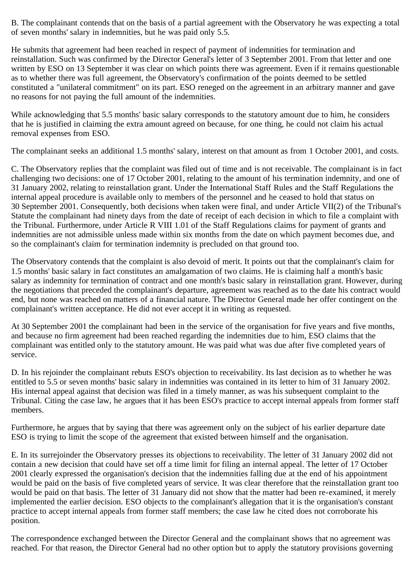B. The complainant contends that on the basis of a partial agreement with the Observatory he was expecting a total of seven months' salary in indemnities, but he was paid only 5.5.

He submits that agreement had been reached in respect of payment of indemnities for termination and reinstallation. Such was confirmed by the Director General's letter of 3 September 2001. From that letter and one written by ESO on 13 September it was clear on which points there was agreement. Even if it remains questionable as to whether there was full agreement, the Observatory's confirmation of the points deemed to be settled constituted a "unilateral commitment" on its part. ESO reneged on the agreement in an arbitrary manner and gave no reasons for not paying the full amount of the indemnities.

While acknowledging that 5.5 months' basic salary corresponds to the statutory amount due to him, he considers that he is justified in claiming the extra amount agreed on because, for one thing, he could not claim his actual removal expenses from ESO.

The complainant seeks an additional 1.5 months' salary, interest on that amount as from 1 October 2001, and costs.

C. The Observatory replies that the complaint was filed out of time and is not receivable. The complainant is in fact challenging two decisions: one of 17 October 2001, relating to the amount of his termination indemnity, and one of 31 January 2002, relating to reinstallation grant. Under the International Staff Rules and the Staff Regulations the internal appeal procedure is available only to members of the personnel and he ceased to hold that status on 30 September 2001. Consequently, both decisions when taken were final, and under Article VII(2) of the Tribunal's Statute the complainant had ninety days from the date of receipt of each decision in which to file a complaint with the Tribunal. Furthermore, under Article R VIII 1.01 of the Staff Regulations claims for payment of grants and indemnities are not admissible unless made within six months from the date on which payment becomes due, and so the complainant's claim for termination indemnity is precluded on that ground too.

The Observatory contends that the complaint is also devoid of merit. It points out that the complainant's claim for 1.5 months' basic salary in fact constitutes an amalgamation of two claims. He is claiming half a month's basic salary as indemnity for termination of contract and one month's basic salary in reinstallation grant. However, during the negotiations that preceded the complainant's departure, agreement was reached as to the date his contract would end, but none was reached on matters of a financial nature. The Director General made her offer contingent on the complainant's written acceptance. He did not ever accept it in writing as requested.

At 30 September 2001 the complainant had been in the service of the organisation for five years and five months, and because no firm agreement had been reached regarding the indemnities due to him, ESO claims that the complainant was entitled only to the statutory amount. He was paid what was due after five completed years of service.

D. In his rejoinder the complainant rebuts ESO's objection to receivability. Its last decision as to whether he was entitled to 5.5 or seven months' basic salary in indemnities was contained in its letter to him of 31 January 2002. His internal appeal against that decision was filed in a timely manner, as was his subsequent complaint to the Tribunal. Citing the case law, he argues that it has been ESO's practice to accept internal appeals from former staff members.

Furthermore, he argues that by saying that there was agreement only on the subject of his earlier departure date ESO is trying to limit the scope of the agreement that existed between himself and the organisation.

E. In its surrejoinder the Observatory presses its objections to receivability. The letter of 31 January 2002 did not contain a new decision that could have set off a time limit for filing an internal appeal. The letter of 17 October 2001 clearly expressed the organisation's decision that the indemnities falling due at the end of his appointment would be paid on the basis of five completed years of service. It was clear therefore that the reinstallation grant too would be paid on that basis. The letter of 31 January did not show that the matter had been re-examined, it merely implemented the earlier decision. ESO objects to the complainant's allegation that it is the organisation's constant practice to accept internal appeals from former staff members; the case law he cited does not corroborate his position.

The correspondence exchanged between the Director General and the complainant shows that no agreement was reached. For that reason, the Director General had no other option but to apply the statutory provisions governing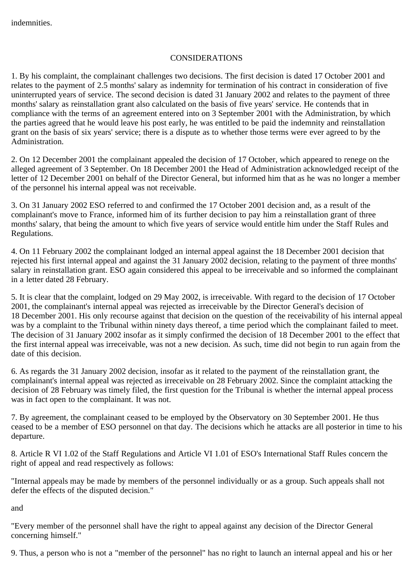## CONSIDERATIONS

1. By his complaint, the complainant challenges two decisions. The first decision is dated 17 October 2001 and relates to the payment of 2.5 months' salary as indemnity for termination of his contract in consideration of five uninterrupted years of service. The second decision is dated 31 January 2002 and relates to the payment of three months' salary as reinstallation grant also calculated on the basis of five years' service. He contends that in compliance with the terms of an agreement entered into on 3 September 2001 with the Administration, by which the parties agreed that he would leave his post early, he was entitled to be paid the indemnity and reinstallation grant on the basis of six years' service; there is a dispute as to whether those terms were ever agreed to by the Administration.

2. On 12 December 2001 the complainant appealed the decision of 17 October, which appeared to renege on the alleged agreement of 3 September. On 18 December 2001 the Head of Administration acknowledged receipt of the letter of 12 December 2001 on behalf of the Director General, but informed him that as he was no longer a member of the personnel his internal appeal was not receivable.

3. On 31 January 2002 ESO referred to and confirmed the 17 October 2001 decision and, as a result of the complainant's move to France, informed him of its further decision to pay him a reinstallation grant of three months' salary, that being the amount to which five years of service would entitle him under the Staff Rules and Regulations.

4. On 11 February 2002 the complainant lodged an internal appeal against the 18 December 2001 decision that rejected his first internal appeal and against the 31 January 2002 decision, relating to the payment of three months' salary in reinstallation grant. ESO again considered this appeal to be irreceivable and so informed the complainant in a letter dated 28 February.

5. It is clear that the complaint, lodged on 29 May 2002, is irreceivable. With regard to the decision of 17 October 2001, the complainant's internal appeal was rejected as irreceivable by the Director General's decision of 18 December 2001. His only recourse against that decision on the question of the receivability of his internal appeal was by a complaint to the Tribunal within ninety days thereof, a time period which the complainant failed to meet. The decision of 31 January 2002 insofar as it simply confirmed the decision of 18 December 2001 to the effect that the first internal appeal was irreceivable, was not a new decision. As such, time did not begin to run again from the date of this decision.

6. As regards the 31 January 2002 decision, insofar as it related to the payment of the reinstallation grant, the complainant's internal appeal was rejected as irreceivable on 28 February 2002. Since the complaint attacking the decision of 28 February was timely filed, the first question for the Tribunal is whether the internal appeal process was in fact open to the complainant. It was not.

7. By agreement, the complainant ceased to be employed by the Observatory on 30 September 2001. He thus ceased to be a member of ESO personnel on that day. The decisions which he attacks are all posterior in time to his departure.

8. Article R VI 1.02 of the Staff Regulations and Article VI 1.01 of ESO's International Staff Rules concern the right of appeal and read respectively as follows:

"Internal appeals may be made by members of the personnel individually or as a group. Such appeals shall not defer the effects of the disputed decision."

and

"Every member of the personnel shall have the right to appeal against any decision of the Director General concerning himself."

9. Thus, a person who is not a "member of the personnel" has no right to launch an internal appeal and his or her